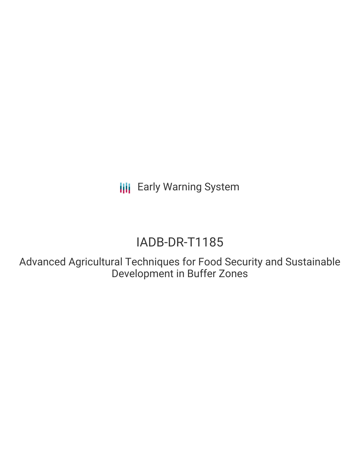**III** Early Warning System

# IADB-DR-T1185

Advanced Agricultural Techniques for Food Security and Sustainable Development in Buffer Zones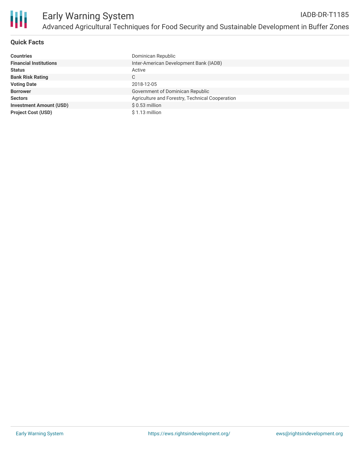

### **Quick Facts**

| <b>Countries</b>               | Dominican Republic                              |
|--------------------------------|-------------------------------------------------|
| <b>Financial Institutions</b>  | Inter-American Development Bank (IADB)          |
| <b>Status</b>                  | Active                                          |
| <b>Bank Risk Rating</b>        | C                                               |
| <b>Voting Date</b>             | 2018-12-05                                      |
| <b>Borrower</b>                | Government of Dominican Republic                |
| <b>Sectors</b>                 | Agriculture and Forestry, Technical Cooperation |
| <b>Investment Amount (USD)</b> | $$0.53$ million                                 |
| <b>Project Cost (USD)</b>      | $$1.13$ million                                 |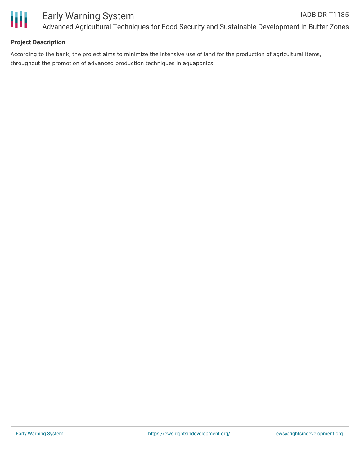

#### **Project Description**

According to the bank, the project aims to minimize the intensive use of land for the production of agricultural items, throughout the promotion of advanced production techniques in aquaponics.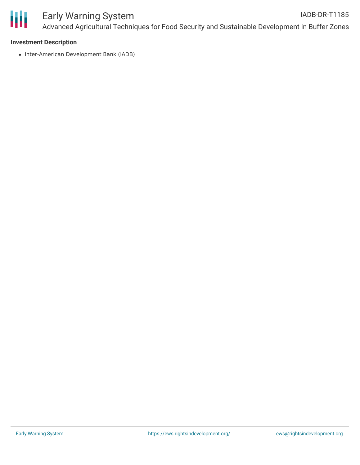

#### Early Warning System Advanced Agricultural Techniques for Food Security and Sustainable Development in Buffer Zones IADB-DR-T1185

#### **Investment Description**

• Inter-American Development Bank (IADB)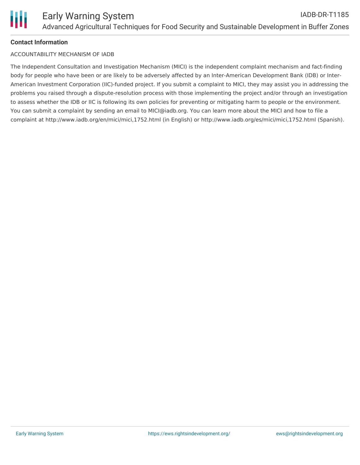

#### **Contact Information**

#### ACCOUNTABILITY MECHANISM OF IADB

The Independent Consultation and Investigation Mechanism (MICI) is the independent complaint mechanism and fact-finding body for people who have been or are likely to be adversely affected by an Inter-American Development Bank (IDB) or Inter-American Investment Corporation (IIC)-funded project. If you submit a complaint to MICI, they may assist you in addressing the problems you raised through a dispute-resolution process with those implementing the project and/or through an investigation to assess whether the IDB or IIC is following its own policies for preventing or mitigating harm to people or the environment. You can submit a complaint by sending an email to MICI@iadb.org. You can learn more about the MICI and how to file a complaint at http://www.iadb.org/en/mici/mici,1752.html (in English) or http://www.iadb.org/es/mici/mici,1752.html (Spanish).